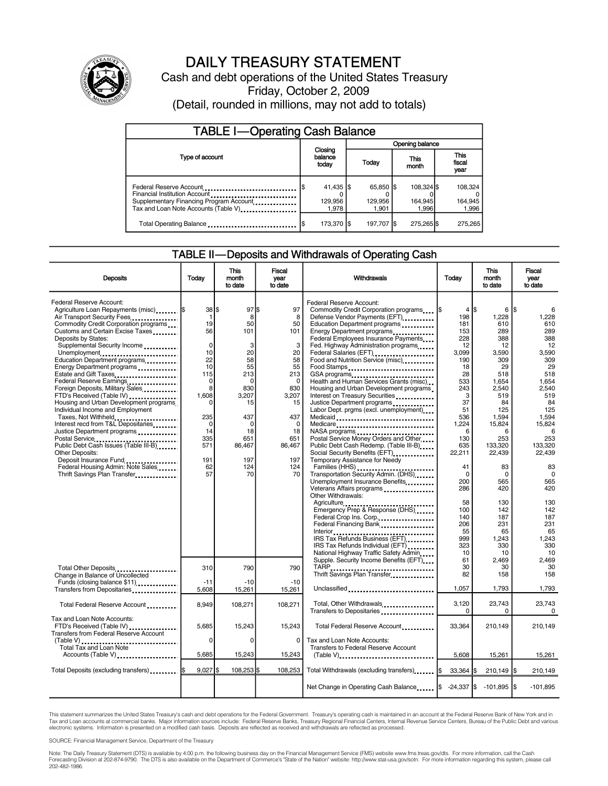

# DAILY TREASURY STATEMENT

Cash and debt operations of the United States Treasury Friday, October 2, 2009 (Detail, rounded in millions, may not add to totals)

| <b>TABLE I-Operating Cash Balance</b>                                                                                                                                      |                                  |                               |                                |                               |  |  |  |
|----------------------------------------------------------------------------------------------------------------------------------------------------------------------------|----------------------------------|-------------------------------|--------------------------------|-------------------------------|--|--|--|
|                                                                                                                                                                            |                                  | Opening balance               |                                |                               |  |  |  |
| Type of account                                                                                                                                                            | Closing<br>balance<br>today      | Today                         | This<br>month                  | <b>This</b><br>fiscal<br>year |  |  |  |
| Federal Reserve Account<br>Financial Institution Account<br>Supplementary Financing Program Account<br>Tax and Loan Note Accounts (Table V) <sub>-------------------</sub> | $41,435$ \\$<br>129,956<br>1,978 | 65.850 \$<br>129.956<br>1.901 | 108.324 \$<br>164.945<br>1.996 | 108,324<br>164,945<br>1,996   |  |  |  |
| Total Operating Balance                                                                                                                                                    | 173,370 S                        | 197.707 S                     | 275,265 \$                     | 275,265                       |  |  |  |

### TABLE II—Deposits and Withdrawals of Operating Cash

| <b>Deposits</b>                                                                                                                                                                                                                                                                                                                                                                                                                                                                                                                                                                                                                                                                                                                                                              | Today                                                                                                                                                                    | <b>This</b><br>month<br>to date                                                                                                                             | <b>Fiscal</b><br>year<br>to date                                                                                                                      | Withdrawals                                                                                                                                                                                                                                                                                                                                                                                                                                                                                                                                                                                                                                                                                                                                                                                                                                                                                      | Today                                                                                                                                                                                  | <b>This</b><br>month<br>to date                                                                                                                                                              | <b>Fiscal</b><br>vear<br>to date                                                                                                                                                                         |
|------------------------------------------------------------------------------------------------------------------------------------------------------------------------------------------------------------------------------------------------------------------------------------------------------------------------------------------------------------------------------------------------------------------------------------------------------------------------------------------------------------------------------------------------------------------------------------------------------------------------------------------------------------------------------------------------------------------------------------------------------------------------------|--------------------------------------------------------------------------------------------------------------------------------------------------------------------------|-------------------------------------------------------------------------------------------------------------------------------------------------------------|-------------------------------------------------------------------------------------------------------------------------------------------------------|--------------------------------------------------------------------------------------------------------------------------------------------------------------------------------------------------------------------------------------------------------------------------------------------------------------------------------------------------------------------------------------------------------------------------------------------------------------------------------------------------------------------------------------------------------------------------------------------------------------------------------------------------------------------------------------------------------------------------------------------------------------------------------------------------------------------------------------------------------------------------------------------------|----------------------------------------------------------------------------------------------------------------------------------------------------------------------------------------|----------------------------------------------------------------------------------------------------------------------------------------------------------------------------------------------|----------------------------------------------------------------------------------------------------------------------------------------------------------------------------------------------------------|
| Federal Reserve Account:<br>Agriculture Loan Repayments (misc)<br>Air Transport Security Fees<br>Commodity Credit Corporation programs<br>Customs and Certain Excise Taxes<br>Deposits by States:<br>Supplemental Security Income<br>Unemployment<br>Education Department programs<br>Energy Department programs<br>Estate and Gift Taxes<br>Federal Reserve Earnings<br>Foreign Deposits, Military Sales<br>FTD's Received (Table IV)<br>Housing and Urban Development programs<br>Individual Income and Employment<br>Taxes, Not Withheld<br>Interest recd from T&L Depositaries<br>Justice Department programs<br>Public Debt Cash Issues (Table III-B)<br>Other Deposits:<br>Deposit Insurance Fund<br>Federal Housing Admin: Note Sales<br>Thrift Savings Plan Transfer | $38$ $\frac{1}{3}$<br>$\mathbf{1}$<br>19<br>56<br>$\mathbf 0$<br>10<br>22<br>10<br>115<br>$\Omega$<br>8<br>1.608<br>0<br>235<br>0<br>14<br>335<br>571<br>191<br>62<br>57 | $97$ $\frac{5}{3}$<br>8<br>50<br>101<br>3<br>20<br>58<br>55<br>213<br>$\Omega$<br>830<br>3.207<br>15<br>437<br>0<br>18<br>651<br>86,467<br>197<br>124<br>70 | 97<br>8<br>50<br>101<br>3<br>20<br>58<br>55<br>213<br>$\Omega$<br>830<br>3.207<br>15<br>437<br>$\mathbf 0$<br>18<br>651<br>86,467<br>197<br>124<br>70 | Federal Reserve Account:<br>Commodity Credit Corporation programs<br>Defense Vendor Payments (EFT)<br>Education Department programs<br>Energy Department programs<br>Federal Employees Insurance Payments<br>Fed. Highway Administration programs<br>Federal Salaries (EFT)<br>Food and Nutrition Service (misc)<br>Food Stamps<br>GSA programs<br>Health and Human Services Grants (misc)<br>Housing and Urban Development programs<br>Interest on Treasury Securities<br>Justice Department programs<br>Labor Dept. prgms (excl. unemployment)<br>Medicaid<br>Medicare<br>NASA programs<br>Postal Service Money Orders and Other<br>Public Debt Cash Redemp. (Table III-B)<br>Social Security Benefits (EFT)<br>Temporary Assistance for Needy<br>Families (HHS)<br>Transportation Security Admin. (DHS)<br>Unemployment Insurance Benefits<br>Veterans Affairs programs<br>Other Withdrawals: | $4$ IS<br>198<br>181<br>153<br>228<br>12<br>3.099<br>190<br>18<br>28<br>533<br>243<br>3<br>37<br>51<br>536<br>1,224<br>6<br>130<br>635<br>22,211<br>41<br>$\Omega$<br>200<br>286<br>58 | 6<br>1,228<br>610<br>289<br>388<br>12<br>3,590<br>309<br>29<br>518<br>1.654<br>2,540<br>519<br>84<br>125<br>1,594<br>15,824<br>6<br>253<br>133,320<br>22,439<br>83<br>0<br>565<br>420<br>130 | 1\$<br>1,228<br>610<br>289<br>388<br>12<br>3,590<br>309<br>29<br>518<br>1,654<br>2,540<br>519<br>84<br>125<br>1,594<br>15,824<br>6<br>253<br>133.320<br>22.439<br>83<br>$\mathbf 0$<br>565<br>420<br>130 |
|                                                                                                                                                                                                                                                                                                                                                                                                                                                                                                                                                                                                                                                                                                                                                                              |                                                                                                                                                                          |                                                                                                                                                             |                                                                                                                                                       | Federal Crop Ins. Corp<br>Federal Financing Bank<br>IRS Tax Refunds Business (EFT)<br>IRS Tax Refunds Individual (EFT)<br>National Highway Traffic Safety Admin<br>Supple. Security Income Benefits (EFT)                                                                                                                                                                                                                                                                                                                                                                                                                                                                                                                                                                                                                                                                                        | 100<br>140<br>206<br>55<br>999<br>323<br>10<br>61                                                                                                                                      | 142<br>187<br>231<br>65<br>1,243<br>330<br>10<br>2,469                                                                                                                                       | 142<br>187<br>231<br>65<br>1,243<br>330<br>10<br>2,469                                                                                                                                                   |
| Total Other Deposits<br>Change in Balance of Uncollected<br>Funds (closing balance \$11)                                                                                                                                                                                                                                                                                                                                                                                                                                                                                                                                                                                                                                                                                     | 310<br>$-11$                                                                                                                                                             | 790<br>$-10$                                                                                                                                                | 790<br>$-10$                                                                                                                                          | Thrift Savings Plan Transfer<br>Unclassified                                                                                                                                                                                                                                                                                                                                                                                                                                                                                                                                                                                                                                                                                                                                                                                                                                                     | 30<br>82<br>1,057                                                                                                                                                                      | 30<br>158<br>1,793                                                                                                                                                                           | 30<br>158<br>1,793                                                                                                                                                                                       |
| Transfers from Depositaries<br>Total Federal Reserve Account                                                                                                                                                                                                                                                                                                                                                                                                                                                                                                                                                                                                                                                                                                                 | 5,608<br>8,949                                                                                                                                                           | 15,261<br>108,271                                                                                                                                           | 15,261<br>108,271                                                                                                                                     | Total, Other Withdrawals<br>Transfers to Depositaries                                                                                                                                                                                                                                                                                                                                                                                                                                                                                                                                                                                                                                                                                                                                                                                                                                            | 3,120<br>0                                                                                                                                                                             | 23,743<br>0                                                                                                                                                                                  | 23.743<br>$\mathbf 0$                                                                                                                                                                                    |
| Tax and Loan Note Accounts:<br>FTD's Received (Table IV)<br>Transfers from Federal Reserve Account                                                                                                                                                                                                                                                                                                                                                                                                                                                                                                                                                                                                                                                                           | 5,685                                                                                                                                                                    | 15,243                                                                                                                                                      | 15,243                                                                                                                                                | Total Federal Reserve Account                                                                                                                                                                                                                                                                                                                                                                                                                                                                                                                                                                                                                                                                                                                                                                                                                                                                    | 33.364                                                                                                                                                                                 | 210,149                                                                                                                                                                                      | 210,149                                                                                                                                                                                                  |
| (Table V)<br>Total Tax and Loan Note<br>Accounts (Table V)                                                                                                                                                                                                                                                                                                                                                                                                                                                                                                                                                                                                                                                                                                                   | 0<br>5,685                                                                                                                                                               | 0<br>15,243                                                                                                                                                 | 0<br>15,243                                                                                                                                           | Tax and Loan Note Accounts:<br>Transfers to Federal Reserve Account<br>(Table V)                                                                                                                                                                                                                                                                                                                                                                                                                                                                                                                                                                                                                                                                                                                                                                                                                 | 5,608                                                                                                                                                                                  | 15,261                                                                                                                                                                                       | 15,261                                                                                                                                                                                                   |
|                                                                                                                                                                                                                                                                                                                                                                                                                                                                                                                                                                                                                                                                                                                                                                              | $9,027$ \$                                                                                                                                                               | 108,253 \$                                                                                                                                                  | 108,253                                                                                                                                               | Total Withdrawals (excluding transfers) I\$                                                                                                                                                                                                                                                                                                                                                                                                                                                                                                                                                                                                                                                                                                                                                                                                                                                      | $33.364$ S                                                                                                                                                                             | $210,149$ $\sqrt{5}$                                                                                                                                                                         | 210.149                                                                                                                                                                                                  |
|                                                                                                                                                                                                                                                                                                                                                                                                                                                                                                                                                                                                                                                                                                                                                                              |                                                                                                                                                                          |                                                                                                                                                             |                                                                                                                                                       | Net Change in Operating Cash Balance                                                                                                                                                                                                                                                                                                                                                                                                                                                                                                                                                                                                                                                                                                                                                                                                                                                             | $-24,337$ \$                                                                                                                                                                           | $-101,895$ \$                                                                                                                                                                                | $-101,895$                                                                                                                                                                                               |

This statement summarizes the United States Treasury's cash and debt operations for the Federal Government. Treasury's operating cash is maintained in an account at the Federal Reserve Bank of New York and in<br>Tax and Loan

SOURCE: Financial Management Service, Department of the Treasury

Note: The Daily Treasury Statement (DTS) is available by 4:00 p.m. the following business day on the Financial Management Service (FMS) website www.fms.treas.gov/dts. For more information, call the Cash<br>Forecasting Divisio